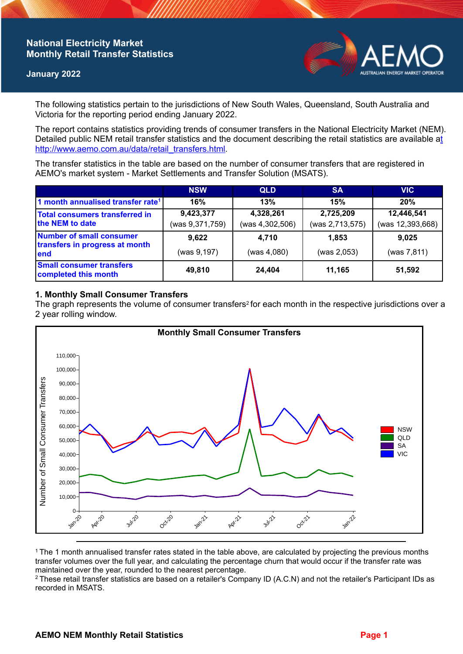# **National Electricity Market Monthly Retail Transfer Statistics**

#### **January 2022**



The following statistics pertain to the jurisdictions of New South Wales, Queensland, South Australia and Victoria for the reporting period ending January 2022.

The report contains statistics providing trends of consumer transfers in the National Electricity Market (NEM). Detailed public NEM retail transfer statistics and the document describing the retail statistics are available a[t](http://www.aemo.com.au/data/retail_transfers.html)  http://www.aemo.com.au/data/retail\_transfers.html

The transfer statistics in the table are based on the number of consumer transfers that are registered in AEMO's market system - Market Settlements and Transfer Solution (MSATS).

|                                                                    | <b>NSW</b>      | <b>QLD</b>      | <b>SA</b>       | <b>VIC</b>       |
|--------------------------------------------------------------------|-----------------|-----------------|-----------------|------------------|
| 1 month annualised transfer rate <sup>1</sup>                      | 16%             | 13%             | 15%             | 20%              |
| <b>Total consumers transferred in</b><br>the NEM to date           | 9,423,377       | 4,328,261       | 2,725,209       | 12,446,541       |
|                                                                    | (was 9,371,759) | (was 4,302,506) | (was 2,713,575) | (was 12,393,668) |
| Number of small consumer<br>transfers in progress at month<br>lend | 9.622           | 4,710           | 1.853           | 9.025            |
|                                                                    | (was 9,197)     | (was 4,080)     | (was 2,053)     | (was 7,811)      |
| <b>Small consumer transfers</b><br>completed this month            | 49,810          | 24,404          | 11.165          | 51,592           |

## **1. Monthly Small Consumer Transfers**

The graph represents the volume of consumer transfers<sup>2</sup> for each month in the respective jurisdictions over a 2 year rolling window.



<sup>1</sup>The 1 month annualised transfer rates stated in the table above, are calculated by projecting the previous months transfer volumes over the full year, and calculating the percentage churn that would occur if the transfer rate was maintained over the year, rounded to the nearest percentage.

<sup>2</sup> These retail transfer statistics are based on a retailer's Company ID (A.C.N) and not the retailer's Participant IDs as recorded in MSATS.